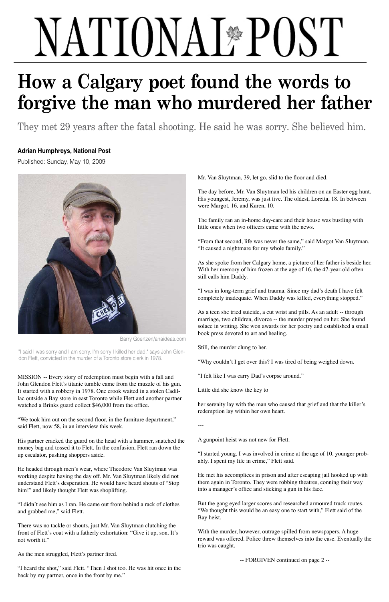

Barry Goertzen/ahaideas.com

"I said I was sorry and I am sorry. I'm sorry I killed her dad," says John Glendon Flett, convicted in the murder of a Toronto store clerk in 1978.

MISSION -- Every story of redemption must begin with a fall and John Glendon Flett's titanic tumble came from the muzzle of his gun. It started with a robbery in 1978. One crook waited in a stolen Cadillac outside a Bay store in east Toronto while Flett and another partner watched a Brinks guard collect \$46,000 from the office.

He headed through men's wear, where Theodore Van Sluytman was working despite having the day off. Mr. Van Sluytman likely did not understand Flett's desperation. He would have heard shouts of "Stop him!" and likely thought Flett was shoplifting.

"We took him out on the second floor, in the furniture department," said Flett, now 58, in an interview this week.

His partner cracked the guard on the head with a hammer, snatched the money bag and tossed it to Flett. In the confusion, Flett ran down the up escalator, pushing shoppers aside.

"I didn't see him as I ran. He came out from behind a rack of clothes and grabbed me," said Flett.

There was no tackle or shouts, just Mr. Van Sluytman clutching the front of Flett's coat with a fatherly exhortation: "Give it up, son. It's not worth it."

As the men struggled, Flett's partner fired.

"I heard the shot," said Flett. "Then I shot too. He was hit once in the back by my partner, once in the front by me."

Mr. Van Sluytman, 39, let go, slid to the floor and died.

The day before, Mr. Van Sluytman led his children on an Easter egg hunt. His youngest, Jeremy, was just five. The oldest, Loretta, 18. In between were Margot, 16, and Karen, 10.

The family ran an in-home day-care and their house was bustling with little ones when two officers came with the news.

"From that second, life was never the same," said Margot Van Sluytman. "It caused a nightmare for my whole family."

As she spoke from her Calgary home, a picture of her father is beside her. With her memory of him frozen at the age of 16, the 47-year-old often still calls him Daddy.

"I was in long-term grief and trauma. Since my dad's death I have felt completely inadequate. When Daddy was killed, everything stopped."

As a teen she tried suicide, a cut wrist and pills. As an adult -- through marriage, two children, divorce -- the murder preyed on her. She found solace in writing. She won awards for her poetry and established a small book press devoted to art and healing.

Still, the murder clung to her.

"Why couldn't I get over this? I was tired of being weighed down.

"I felt like I was carry Dad's corpse around."

Little did she know the key to

her serenity lay with the man who caused that grief and that the killer's redemption lay within her own heart.

---

A gunpoint heist was not new for Flett.

"I started young. I was involved in crime at the age of 10, younger probably. I spent my life in crime," Flett said.

He met his accomplices in prison and after escaping jail hooked up with them again in Toronto. They were robbing theatres, conning their way into a manager's office and sticking a gun in his face.

But the gang eyed larger scores and researched armoured truck routes. "We thought this would be an easy one to start with," Flett said of the Bay heist.

With the murder, however, outrage spilled from newspapers. A huge reward was offered. Police threw themselves into the case. Eventually the trio was caught.

-- FORGIVEN continued on page 2 --

## NATIONAL<sup>\*</sup>POST

## **How a Calgary poet found the words to forgive the man who murdered her father**

They met 29 years after the fatal shooting. He said he was sorry. She believed him.

## **Adrian Humphreys, National Post**

Published: Sunday, May 10, 2009